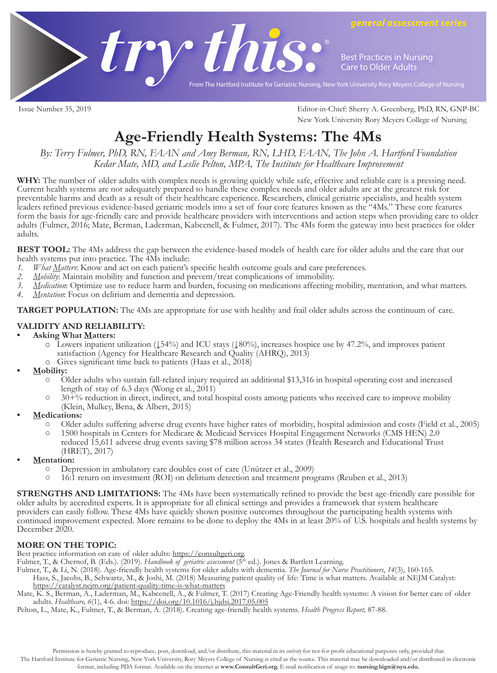

Issue Number 35, 2019 Editor-in-Chief: Sherry A. Greenberg, PhD, RN, GNP-BC New York University Rory Meyers College of Nursing

# **Age-Friendly Health Systems: The 4Ms**

*By: Terry Fulmer, PhD, RN, FAAN and Amy Berman, RN, LHD, FAAN, The John A. Hartford Foundation Kedar Mate, MD, and Leslie Pelton, MPA, The Institute for Healthcare Improvement*

WHY: The number of older adults with complex needs is growing quickly while safe, effective and reliable care is a pressing need. Current health systems are not adequately prepared to handle these complex needs and older adults are at the greatest risk for preventable harms and death as a result of their healthcare experience. Researchers, clinical geriatric specialists, and health system leaders refined previous evidence-based geriatric models into a set of four core features known as the "4Ms." These core features form the basis for age-friendly care and provide healthcare providers with interventions and action steps when providing care to older adults (Fulmer, 2016; Mate, Berman, Laderman, Kabcenell, & Fulmer, 2017). The 4Ms form the gateway into best practices for older adults.

**BEST TOOL:** The 4Ms address the gap between the evidence-based models of health care for older adults and the care that our health systems put into practice. The 4Ms include:

- *1. What Matters*: Know and act on each patient's specific health outcome goals and care preferences.<br>2. *Mobility:* Maintain mobility and function and prevent/treat complications of immobility.
- *2. Mobility*: Maintain mobility and function and prevent/treat complications of immobility.
- *3. Medication*: Optimize use to reduce harm and burden, focusing on medications affecting mobility, mentation, and what matters.
- *4. Mentation*: Focus on delirium and dementia and depression.

**TARGET POPULATION:** The 4Ms are appropriate for use with healthy and frail older adults across the continuum of care.

## **VALIDITY AND RELIABILITY:**

#### **• Asking What Matters:**

- o Lowers inpatient utilization (↓54%) and ICU stays (↓80%), increases hospice use by 47.2%, and improves patient satisfaction (Agency for Healthcare Research and Quality (AHRQ), 2013)
- 
- 
- <sup>o</sup> Gives significant time back to patients (Haas et al., 2018) **• Mobility:** Older adults who sustain fall-related injury required an additional \$13,316 in hospital operating cost and increased<br>length of stay of 6.3 days (Wong et al., 2011)<br>30+% reduction in direct, indirect, and total hospital cos
	-
	-
- **• Medications:**
	- Older adults suffering adverse drug events have higher rates of morbidity, hospital admission and costs (Field et al., 2005)<br>
	0 1500 hospitals in Centers for Medicare & Medicaid Services Hospital Engagement Networks (CMS H
	- reduced 15,611 adverse drug events saving \$78 million across 34 states (Health Research and Educational Trust (HRET), 2017)
- **• Mentation:** 
	- Depression in ambulatory care doubles cost of care (Unützer et al., 2009)
	- 16:1 return on investment (ROI) on delirium detection and treatment programs (Reuben et al., 2013)

**STRENGTHS AND LIMITATIONS:** The 4Ms have been systematically refined to provide the best age-friendly care possible for older adults by accredited experts. It is appropriate for all clinical settings and provides a framework that system healthcare providers can easily follow. These 4Ms have quickly shown positive outcomes throughout the participating health systems with continued improvement expected. More remains to be done to deploy the 4Ms in at least 20% of U.S. hospitals and health systems by December 2020.

# **MORE ON THE TOPIC:**

Best practice information on care of older adults: https://consultgeri.org.

Fulmer, T., & Chernof, B. (Eds.). (2019). *Handbook of geriatric assessment* (5<sup>th</sup> ed.). Jones & Bartlett Learning.

Fulmer, T., & Li, N. (2018). Age-friendly health systems for older adults with dementia. *The Journal for Nurse Practitioners*, *14*(3), 160-165. Hass, S., Jacobs, B., Schwartz, M., & Joshi, M. (2018) Measuring patient quality of life: Time is what matters. Available at NEJM Catalyst: https://catalyst.nejm.org/patient-quality-time-is-what-matters

Mate, K. S., Berman, A., Laderman, M., Kabcenell, A., & Fulmer, T. (2017) Creating Age-Friendly health systems: A vision for better care of older adults. *Healthcare, 6*(1), 4-6. doi: https://doi.org/10.1016/j.hjdsi.2017.05.005

Pelton, L., Mate, K., Fulmer, T., & Berman, A. (2018). Creating age-friendly health systems. *Health Progress Report,* 87-88.

Permission is hereby granted to reproduce, post, download, and/or distribute, this material in its *entirety* for not-for-profit educational purposes only, provided that

The Hartford Institute for Geriatric Nursing, New York University, Rory Meyers College of Nursing is cited as the source. This material may be downloaded and/or distributed in electronic format, including PDA format. Available on the internet at **www.ConsultGeri.org.** E-mail notification of usage to: **nursing.hign@nyu.edu.**